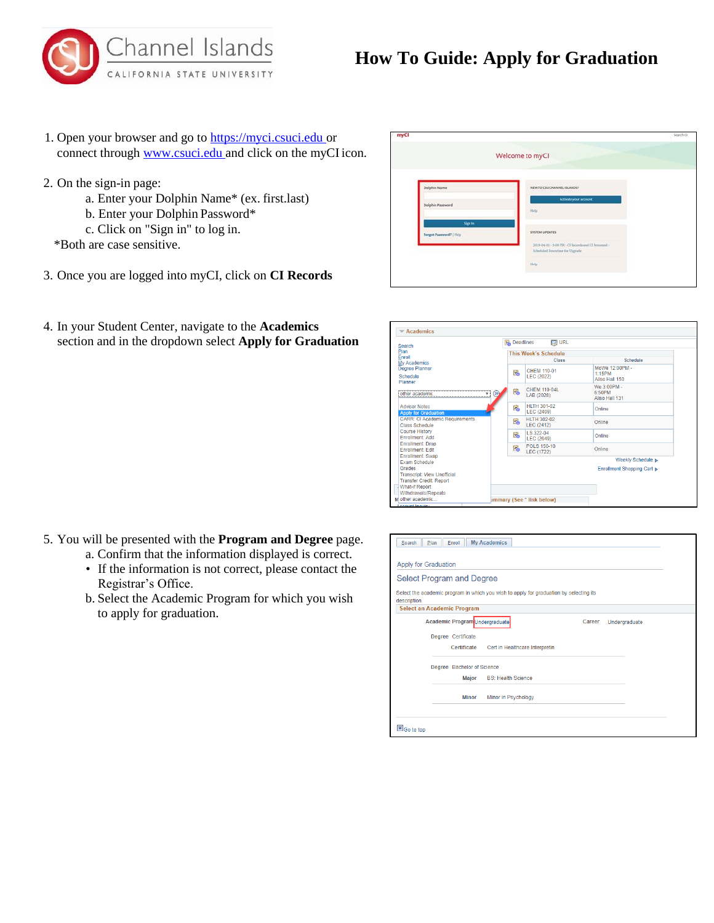



- 1. Open your browser and go to https://myci.csuci.edu or connect through [www.csuci.edu a](http://www.csuci.edu/)nd click on the myCI icon.
- 2. On the sign-in page:
	- a. Enter your Dolphin Name\* (ex. first.last)
	- b. Enter your Dolphin Password\*
	- c. Click on "Sign in" to log in.

\*Both are case sensitive.

- 3. Once you are logged into myCI, click on **CI Records**
- 4. In your Student Center, navigate to the **Academics** section and in the dropdown select **Apply for Graduation**



| Search                                                                         | <b>Deadlines</b>            | <b>同 URL</b>                            |                                            |  |
|--------------------------------------------------------------------------------|-----------------------------|-----------------------------------------|--------------------------------------------|--|
| Plan                                                                           | <b>This Week's Schedule</b> |                                         |                                            |  |
| Enroll<br><b>My Academics</b>                                                  |                             | <b>Class</b>                            | Schedule                                   |  |
| <b>Degree Planner</b><br>Schedule<br>Planner                                   | E <sup>1</sup>              | CHEM 110-01<br><b>LEC (2022)</b>        | MoWe 12:00PM -<br>1:15PM<br>Aliso Hall 150 |  |
| (3)<br>other academic<br>                                                      | E <sup>1</sup>              | CHEM 110-04L<br>LAB (2028)              | We 3:00PM -<br>5:50PM<br>Aliso Hall 131    |  |
| <b>Advisor Notes</b><br><b>Apply for Graduation</b>                            | Ë.                          | <b>HLTH 301-02</b><br>LEC (2409)        | Online                                     |  |
| <b>CARR: CI Academic Requirements</b><br>Class Schedule                        | E <sup>1</sup>              | <b>HLTH 302-02</b><br><b>LEC (2412)</b> | Online                                     |  |
| <b>Course History</b><br>Frirollment: Add                                      | Ë.                          | LS 322-04<br>LEC (2649)                 | Online                                     |  |
| <b>Enrollment: Drop</b><br><b>Enrollment: Edit</b>                             | Ë.                          | POI S 150-10<br><b>LEC (1722)</b>       | Online                                     |  |
| <b>Enrollment: Swap</b><br><b>Exam Schedule</b>                                |                             |                                         | Weekly Schedule >                          |  |
| Grades<br><b>Transcript: View Unofficial</b><br><b>Transfer Credit: Report</b> |                             |                                         | Enrollment Shopping Cart ⊳                 |  |
| <b>What-if Report</b>                                                          |                             |                                         |                                            |  |
| Withdrawals/Repeats<br>M other academic                                        |                             | <b>Immary (See * link below)</b>        |                                            |  |

| <b>My Academics</b><br>Plan<br>Enroll<br>Search                                                        |               |
|--------------------------------------------------------------------------------------------------------|---------------|
| Apply for Graduation                                                                                   |               |
| <b>Select Program and Degree</b>                                                                       |               |
| Select the academic program in which you wish to apply for graduation by selecting its<br>description. |               |
| Select an Academic Program                                                                             |               |
| Academic Program Undergraduate<br>Career                                                               | Undergraduate |
| Degree Certificate                                                                                     |               |
| Certificate<br>Cert in Healthcare Interpretin                                                          |               |
| Degree Bachelor of Science                                                                             |               |
| Major<br><b>BS: Health Science</b>                                                                     |               |
| <b>Minor in Psychology</b><br><b>Minor</b>                                                             |               |
|                                                                                                        |               |
| So to top                                                                                              |               |

- 5. You will be presented with the **Program and Degree** page.
	- a. Confirm that the information displayed is correct.
	- If the information is not correct, please contact the Registrar's Office.
	- b. Select the Academic Program for which you wish to apply for graduation.